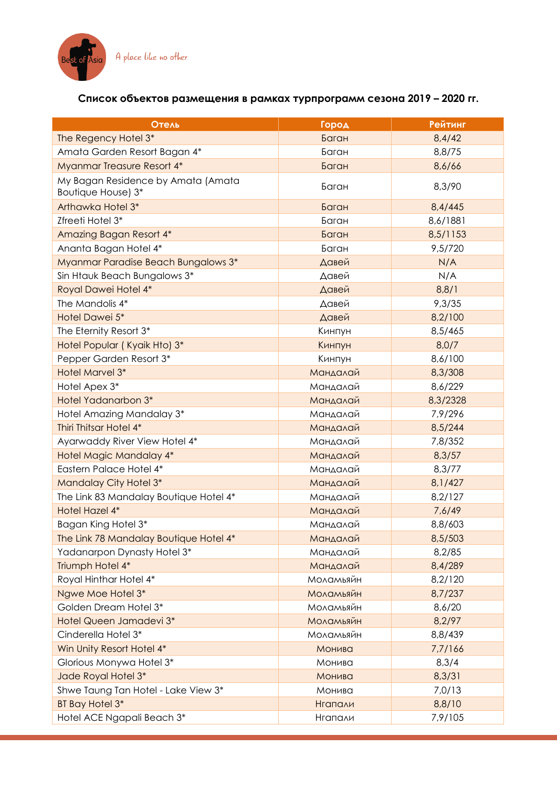

## **Список объектов размещения в рамках турпрограмм сезона 2019 – 2020 гг.**

| Отель                                                    | Город            | <b>Рейтинг</b> |
|----------------------------------------------------------|------------------|----------------|
| The Regency Hotel 3*                                     | Баган            | 8,4/42         |
| Amata Garden Resort Bagan 4*                             | Баган            | 8,8/75         |
| Myanmar Treasure Resort 4*                               | Баган            | 8,6/66         |
| My Bagan Residence by Amata (Amata<br>Boutique House) 3* | Баган            | 8,3/90         |
| Arthawka Hotel 3*                                        | Баган            | 8,4/445        |
| Zfreeti Hotel 3*                                         | Баган            | 8,6/1881       |
| Amazing Bagan Resort 4*                                  | Баган            | 8,5/1153       |
| Ananta Bagan Hotel 4*                                    | Баган            | 9,5/720        |
| Myanmar Paradise Beach Bungalows 3*                      | Давей            | N/A            |
| Sin Htauk Beach Bungalows 3*                             | Давей            | N/A            |
| Royal Dawei Hotel 4*                                     | Давей            | 8,8/1          |
| The Mandolis 4*                                          | Давей            | 9,3/35         |
| Hotel Dawei 5*                                           | Давей            | 8,2/100        |
| The Eternity Resort 3*                                   | Кинпун           | 8,5/465        |
| Hotel Popular (Kyaik Hto) 3*                             | Кинпун           | 8,0/7          |
| Pepper Garden Resort 3*                                  | Кинпун           | 8,6/100        |
| Hotel Marvel 3*                                          | Мандалай         | 8,3/308        |
| Hotel Apex 3*                                            | Мандалай         | 8,6/229        |
| <b>Hotel Yadanarbon 3*</b>                               | Мандалай         | 8,3/2328       |
| Hotel Amazing Mandalay 3*                                | Мандалай         | 7,9/296        |
| Thiri Thitsar Hotel 4*                                   | Мандалай         | 8,5/244        |
| Ayarwaddy River View Hotel 4*                            | Мандалай         | 7,8/352        |
| Hotel Magic Mandalay 4*                                  | Мандалай         | 8,3/57         |
| Eastern Palace Hotel 4*                                  | Мандалай         | 8,3/77         |
| Mandalay City Hotel 3*                                   | Мандалай         | 8,1/427        |
| The Link 83 Mandalay Boutique Hotel 4*                   | Мандалай         | 8,2/127        |
| Hotel Hazel 4*                                           | Мандалай         | 7,6/49         |
| Bagan King Hotel 3*                                      | Мандалай         | 8,8/603        |
| The Link 78 Mandalay Boutique Hotel 4*                   | Мандалай         | 8,5/503        |
| Yadanarpon Dynasty Hotel 3*                              | Мандалай         | 8,2/85         |
| Triumph Hotel 4*                                         | Мандалай         | 8,4/289        |
| Royal Hinthar Hotel 4*                                   | Моламьяйн        | 8,2/120        |
| Ngwe Moe Hotel 3*                                        | <b>Моламьяйн</b> | 8,7/237        |
| Golden Dream Hotel 3*                                    | Моламьяйн        | 8,6/20         |
| Hotel Queen Jamadevi 3*                                  | Моламьяйн        | 8,2/97         |
| Cinderella Hotel 3*                                      | Моламьяйн        | 8,8/439        |
| Win Unity Resort Hotel 4*                                | Монива           | 7,7/166        |
| Glorious Monywa Hotel 3*                                 | Монива           | 8,3/4          |
| Jade Royal Hotel 3*                                      | Монива           | 8,3/31         |
| Shwe Taung Tan Hotel - Lake View 3*                      | Монива           | 7,0/13         |
| BT Bay Hotel 3*                                          | <b>Нгапали</b>   | 8,8/10         |
| Hotel ACE Ngapali Beach 3*                               | Нгапали          | 7,9/105        |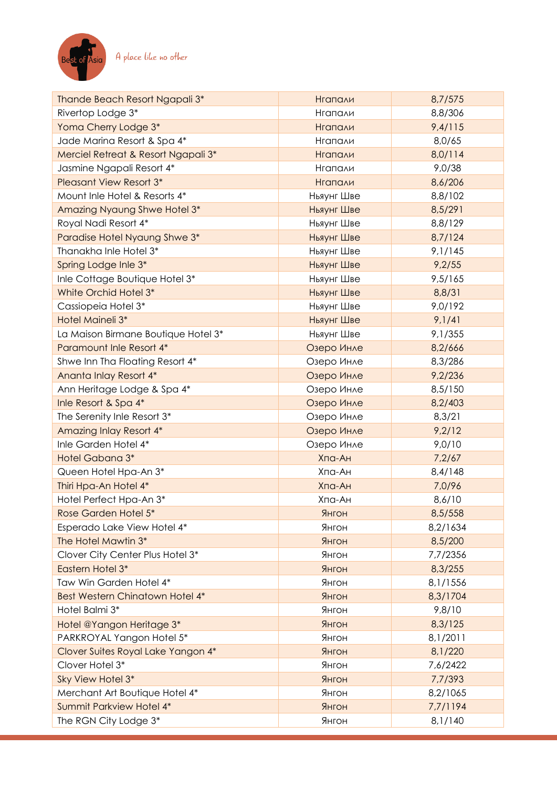

| Rivertop Lodge 3*<br>8,8/306<br>Нгапали<br>Yoma Cherry Lodge 3*<br>9,4/115<br><b>Нгапали</b><br>Jade Marina Resort & Spa 4*<br>8,0/65<br>Нгапали |  |
|--------------------------------------------------------------------------------------------------------------------------------------------------|--|
|                                                                                                                                                  |  |
|                                                                                                                                                  |  |
|                                                                                                                                                  |  |
| Merciel Retreat & Resort Ngapali 3*<br>8,0/114<br><b>Нгапали</b>                                                                                 |  |
| Jasmine Ngapali Resort 4*<br>Нгапали<br>9,0/38                                                                                                   |  |
| <b>Pleasant View Resort 3*</b><br>8,6/206<br><b>Нгапали</b>                                                                                      |  |
| Mount Inle Hotel & Resorts 4*<br>Ньяунг Шве<br>8,8/102                                                                                           |  |
| Amazing Nyaung Shwe Hotel 3*<br>Ньяунг Шве<br>8,5/291                                                                                            |  |
| Royal Nadi Resort 4*<br>Ньяунг Шве<br>8,8/129                                                                                                    |  |
| Paradise Hotel Nyaung Shwe 3*<br>8,7/124<br>Ньяунг Шве                                                                                           |  |
| Thanakha Inle Hotel 3*<br>9,1/145<br>Ньяунг Шве                                                                                                  |  |
| Spring Lodge Inle 3*<br>Ньяунг Шве<br>9,2/55                                                                                                     |  |
| Inle Cottage Boutique Hotel 3*<br>Ньяунг Шве<br>9,5/165                                                                                          |  |
| White Orchid Hotel 3*<br>Ньяунг Шве<br>8,8/31                                                                                                    |  |
| Cassiopeia Hotel 3*<br>Ньяунг Шве<br>9,0/192                                                                                                     |  |
| Hotel Maineli 3*<br>9,1/41<br>Ньяунг Шве                                                                                                         |  |
| La Maison Birmane Boutique Hotel 3*<br>Ньяунг Шве<br>9,1/355                                                                                     |  |
| Paramount Inle Resort 4*<br>Озеро Инле<br>8,2/666                                                                                                |  |
| Shwe Inn Tha Floating Resort 4*<br>8,3/286<br>Озеро Инле                                                                                         |  |
| Ananta Inlay Resort 4*<br>Озеро Инле<br>9,2/236                                                                                                  |  |
| Ann Heritage Lodge & Spa 4*<br>Озеро Инле<br>8,5/150                                                                                             |  |
| Inle Resort & Spa 4*<br>8,2/403<br>Озеро Инле                                                                                                    |  |
| The Serenity Inle Resort 3*<br>Озеро Инле<br>8,3/21                                                                                              |  |
| 9,2/12<br>Amazing Inlay Resort 4*<br>Озеро Инле                                                                                                  |  |
| Inle Garden Hotel 4*<br>Озеро Инле<br>9,0/10                                                                                                     |  |
| Hotel Gabana 3*<br>Хпа-Ан<br>7,2/67                                                                                                              |  |
| Queen Hotel Hpa-An 3*<br>Хпа-Ан<br>8,4/148                                                                                                       |  |
| Thiri Hpa-An Hotel 4*<br>Хпа-Ан<br>7,0/96                                                                                                        |  |
| Hotel Perfect Hpa-An 3*<br>Хпа-Ан<br>8,6/10                                                                                                      |  |
| Rose Garden Hotel 5*<br>Янгон<br>8,5/558                                                                                                         |  |
| Esperado Lake View Hotel 4*<br>Янгон<br>8,2/1634                                                                                                 |  |
| The Hotel Mawtin 3*<br>Янгон<br>8,5/200                                                                                                          |  |
| Clover City Center Plus Hotel 3*<br>Янгон<br>7,7/2356                                                                                            |  |
| Eastern Hotel 3*<br>8,3/255<br>Янгон                                                                                                             |  |
| Taw Win Garden Hotel 4*<br>Янгон<br>8,1/1556                                                                                                     |  |
| Best Western Chinatown Hotel 4*<br>Янгон<br>8,3/1704                                                                                             |  |
| Hotel Balmi 3*<br>9,8/10<br>Янгон                                                                                                                |  |
| Янгон<br>8,3/125<br>Hotel @Yangon Heritage 3*                                                                                                    |  |
| PARKROYAL Yangon Hotel 5*<br>Янгон<br>8,1/2011                                                                                                   |  |
| Clover Suites Royal Lake Yangon 4*<br>Янгон<br>8,1/220                                                                                           |  |
| Clover Hotel 3*<br>Янгон<br>7,6/2422                                                                                                             |  |
| Sky View Hotel 3*<br>Янгон<br>7,7/393                                                                                                            |  |
| Merchant Art Boutique Hotel 4*<br>8,2/1065<br>Янгон                                                                                              |  |
| Summit Parkview Hotel 4*<br>Янгон<br>7,7/1194                                                                                                    |  |
| The RGN City Lodge 3*<br>Янгон<br>8,1/140                                                                                                        |  |